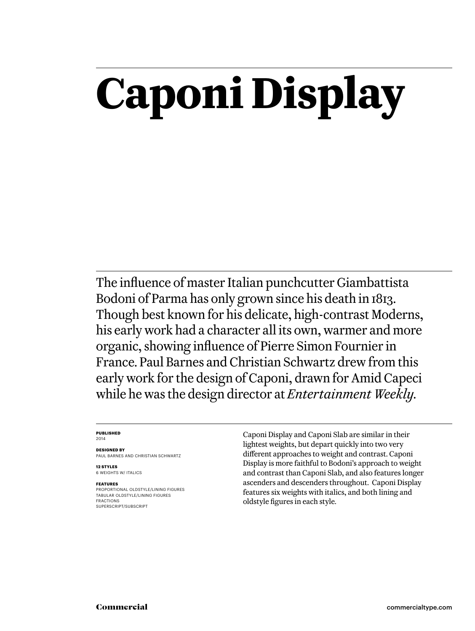# **Caponi Display**

The influence of master Italian punchcutter Giambattista Bodoni of Parma has only grown since his death in 1813. Though best known for his delicate, high-contrast Moderns, his early work had a character all its own, warmer and more organic, showing influence of Pierre Simon Fournier in France. Paul Barnes and Christian Schwartz drew from this early work for the design of Caponi, drawn for Amid Capeci while he was the design director at *Entertainment Weekly.*

#### **Published** 2014

**Designed by** Paul Barnes AND Christian Schwartz

**12 styles** 6 weights w/ ITALICS

#### **Features**

Proportional oldstyle/lining figures Tabular oldstyle/lining figures Fractions SUPERSCRIPT/SUBSCRIPT

Caponi Display and Caponi Slab are similar in their lightest weights, but depart quickly into two very different approaches to weight and contrast. Caponi Display is more faithful to Bodoni's approach to weight and contrast than Caponi Slab, and also features longer ascenders and descenders throughout. Caponi Display features six weights with italics, and both lining and oldstyle figures in each style.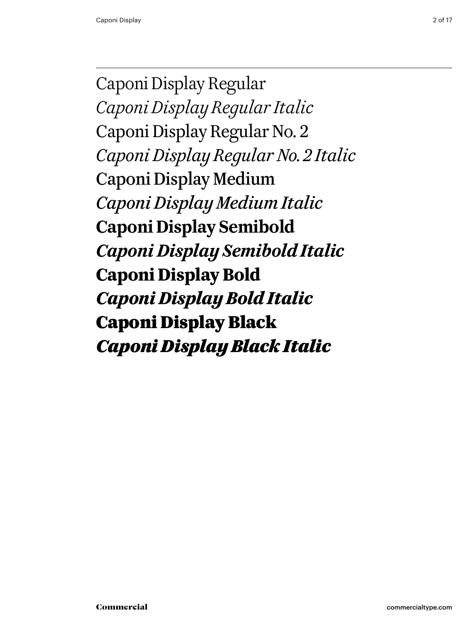Caponi Display Regular *Caponi Display Regular Italic* Caponi Display Regular No. 2 *Caponi Display Regular No. 2 Italic* Caponi Display Medium *Caponi Display Medium Italic* **Caponi Display Semibold** *Caponi Display Semibold Italic* **Caponi Display Bold** *Caponi Display Bold Italic* Caponi Display Black *Caponi Display Black Italic*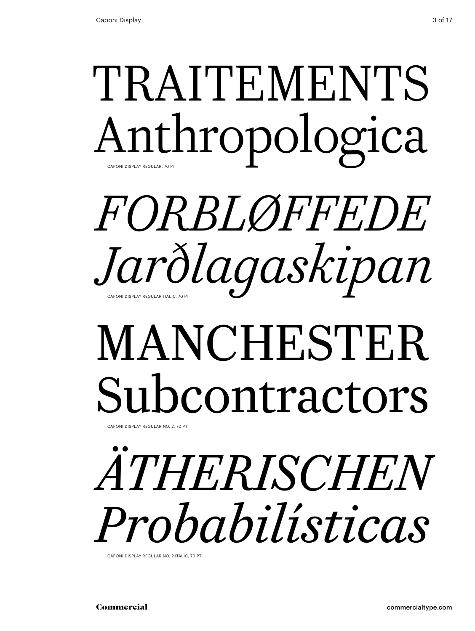## TRAITEMENTS Anthropologica Caponi Display Regular, 70 Pt

## *Forbløffede Jarðlagaskipan* Caponi Display Regular Italic, 70 Pt

# MANCHESTER Subcontractors

CAPONI DISPLAY REGULAR NO. 2, 70 PT

# *Ätherischen Probabilísticas*

Caponi Display Regular No. 2 Italic, 70 Pt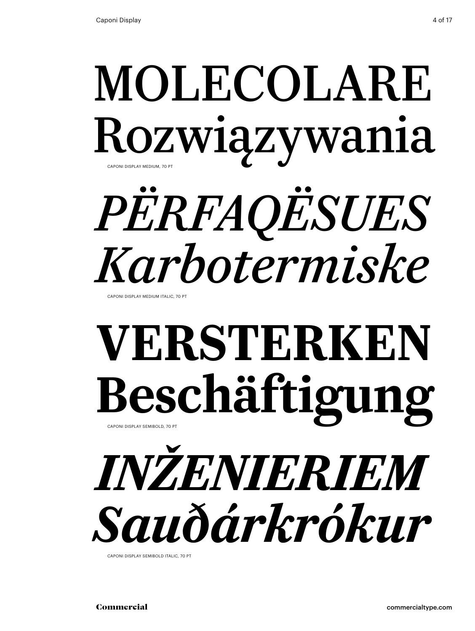## MOLECOLARE Rozwiązywania CAPONI DISPLAY MEDIUM, 70 PT

# *përfaqësues Karbotermiske*

CAPONI DISPLAY MEDIUM ITALIC, 70 PT

## **Versterken Beschäftigung** Caponi Display Semibold, 70 Pt

# *inženieriem Sauðárkrókur*

Caponi Display Semibold italic, 70 Pt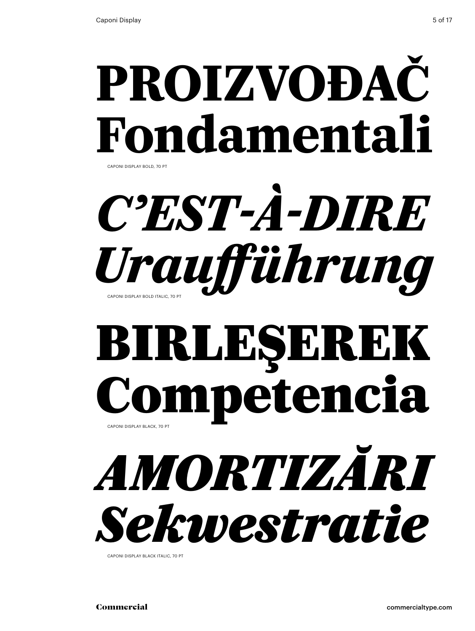## **proizvođač Fondamentali** Caponi Display bold, 70 Pt

## C'EST-À-DIRE *Uraufführung* Caponi Display bold italic, 70 Pt

## Birleşerek Competencia Caponi Display black, 70 Pt

*amortizări Sekwestratie*

Caponi Display black italic, 70 Pt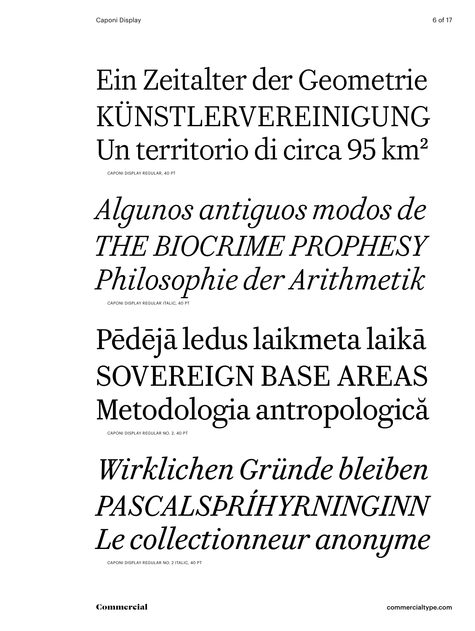Caponi Display Regular, 40 Pt

### Ein Zeitalter der Geometrie KÜNSTLERVEREINIGUNG Un territorio di circa 95 km2

*Algunos antiguos modos de The Biocrime Prophesy Philosophie der Arithmetik* CAPONI DISPLAY REGULAR ITALIC, 40

### Pēdējā ledus laikmeta laikā Sovereign Base Areas Metodologia antropologică CAPONI DISPLAY REGULAR NO. 2, 40 PT

*Wirklichen Gründe bleiben Pascalsþríhyrninginn Le collectionneur anonyme*

Caponi Display Regular No. 2 Italic, 40 Pt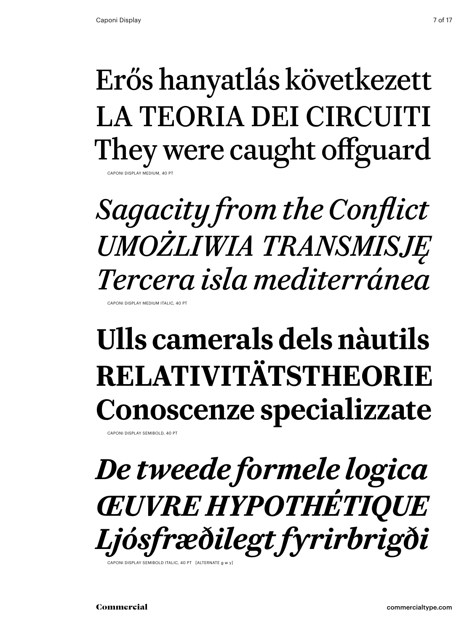### Erős hanyatlás következett LA TEORIA DEI CIRCUITI They were caught offguard DISPI AY MEDIUM, 40

### *Sagacity from the Conflict Umożliwia transmisję Tercera isla mediterránea* Caponi Display Medium Italic, 40 Pt

## **Ulls camerals dels nàutils Relativitätstheorie Conoscenze specializzate**

Caponi Display semibold, 40 Pt

### *De tweede formele logica Œuvre Hypothétique Ljósfræðilegt fyrirbrigði* CAPONI DISPI AY SEMIBOLD ITALIC, 40 PT [ALTERNATE g w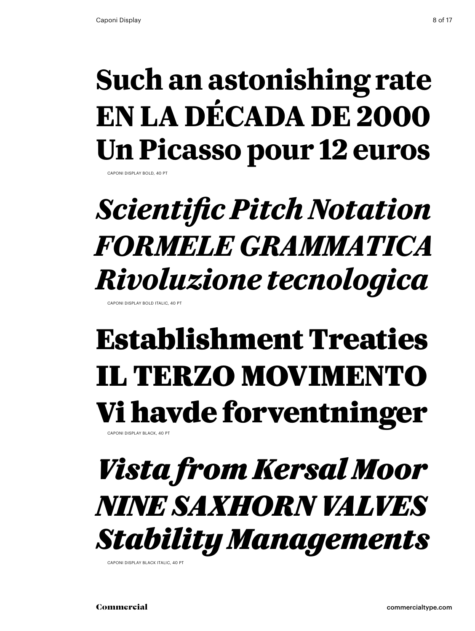### **Such an astonishing rate En la década de 2000 Un Picasso pour 12 euros**

Caponi Display bold, 40 Pt

## *Scientific Pitch Notation formele grammatica Rivoluzione tecnologica*

Caponi Display bold italic, 40 Pt

### Establishment Treaties il terzo movimento Vi havde forventninger Caponi Display black, 40 Pt

### *Vista from Kersal Moor nine Saxhorn valves Stability Managements*

Caponi Display black italic, 40 Pt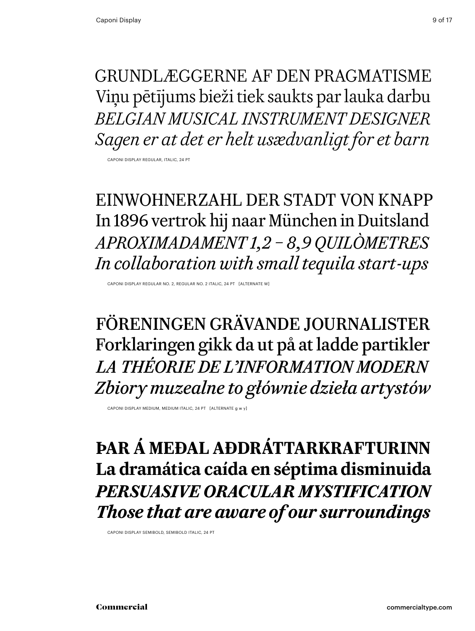Grundlæggerne af den pragmatisme Viņu pētījums bieži tiek saukts par lauka darbu *Belgian musical instrument designer Sagen er at det er helt usædvanligt for et barn*

Caponi Display Regular, italic, 24 Pt

Einwohnerzahl der Stadt von knapp In 1896 vertrok hij naar München in Duitsland *Aproximadament 1,2 – 8,9 quilòmetres In collaboration with small tequila start-ups*

Caponi Display Regular No. 2, Regular No. 2 Italic, 24 Pt [alternate w]

Föreningen Grävande Journalister Forklaringen gikk da ut på at ladde partikler *La théorie de l'information modern Zbiory muzealne to głównie dzieła artystów*

Caponi Display medium, medium italic, 24 Pt [alternate g w y]

**Þar á meðal aðdráttarkrafturinn La dramática caída en séptima disminuida** *Persuasive oracular mystification Those that are aware of our surroundings*

Caponi Display Semibold, Semibold italic, 24 Pt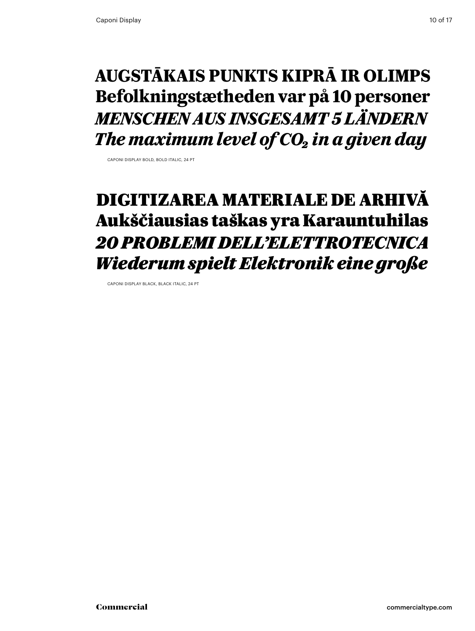### **Augstākais punkts Kiprā ir Olimps Befolkningstætheden var på 10 personer** *Menschen aus insgesamt 5 Ländern The maximum level of CO<sub>2</sub> in a given day*

Caponi Display bold, bold italic, 24 Pt

### Digitizarea materiale de arhivă Aukščiausias taškas yra Karauntuhilas *20 problemi dell'elettrotecnica Wiederum spielt Elektronik eine große*

Caponi Display black, black italic, 24 Pt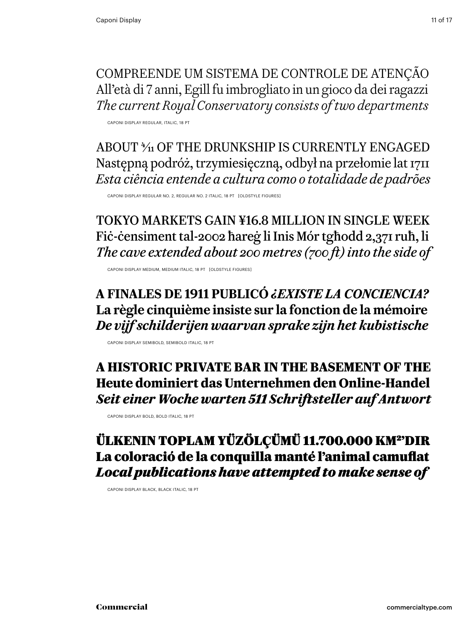Compreende um sistema de controle de atenção All'età di 7 anni, Egill fu imbrogliato in un gioco da dei ragazzi *The current Royal Conservatory consists of two departments*

Caponi Display Regular, italic, 18 Pt

ABOUT  $\frac{4}{11}$  OF THE DRUNKSHIP IS CURRENTLY ENGAGED Następną podróż, trzymiesięczną, odbył na przełomie lat 1711 *Esta ciência entende a cultura como o totalidade de padrões*

Caponi Display Regular No. 2, Regular No. 2 Italic, 18 Pt [oldstyle figures]

tokyo markets gain ¥16.8 million in single week Fiċ-ċensiment tal-2002 ħareġ li Inis Mór tgħodd 2,371 ruħ, li *The cave extended about 200 metres (700 ft) into the side of*

Caponi Display Medium, Medium italic, 18 Pt [oldstyle figures]

### **a finales de 1911 publicó** *¿Existe la conciencia?* **La règle cinquième insiste sur la fonction de la mémoire** *De vijf schilderijen waarvan sprake zijn het kubistische*

Caponi Display Semibold, Semibold italic, 18 Pt

**A historic private bar in the basement of the Heute dominiert das Unternehmen den Online-Handel** *Seit einer Woche warten 511 Schriftsteller auf Antwort*

Caponi Display bold, bold italic, 18 Pt

### Ülkenin toplam yüzölçümü 11.700.000 km2'dir La coloració de la conquilla manté l'animal camuflat *Local publications have attempted to make sense of*

Caponi Display black, Black italic, 18 Pt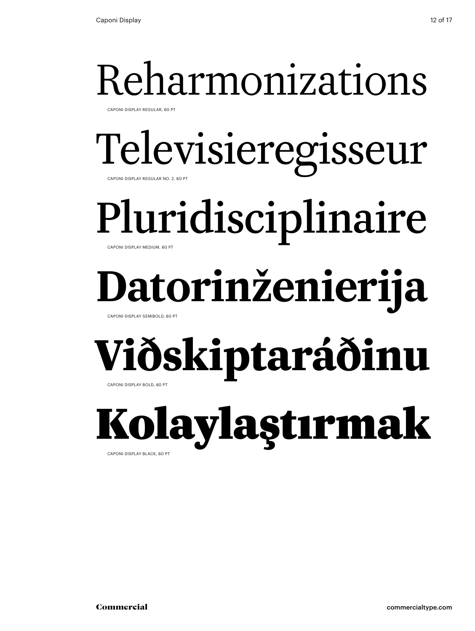Caponi Display Regular, 60 Pt

# Televisieregisseur

Caponi Display Regular No. 2, 60 Pt

Pluridisciplinaire

Caponi Display Medium, 60 Pt

# **Datorinženierija**

Caponi Display Semibold, 60 Pt

# **Viðskiptaráðinu**

Caponi Display bold, 60 Pt

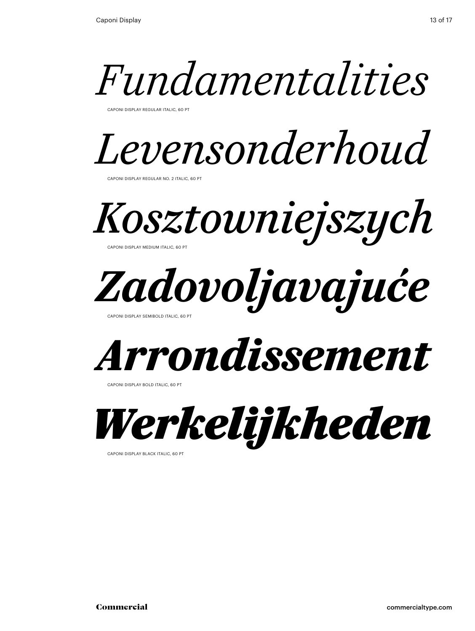

Caponi Display Regular Italic, 60 Pt



Caponi Display Regular No. 2 Italic, 60 Pt

*Kosztowniejszych* Caponi Display Medium Italic, 60 Pt



Caponi Display Semibold italic, 60 Pt



CAPONI DISPLAY BOLD ITALIC, 60 PT



Caponi Display black italic, 60 Pt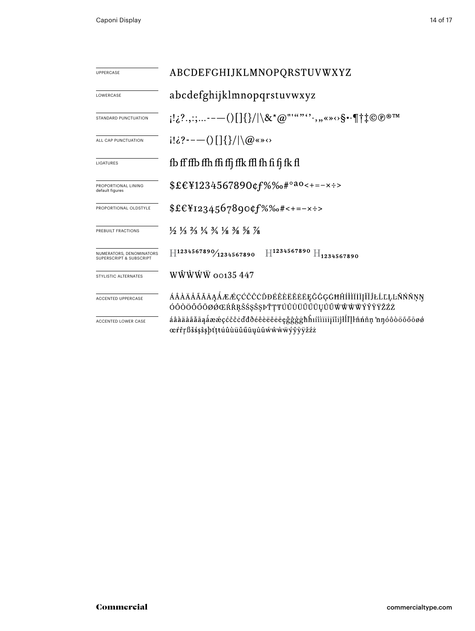| <b>UPPERCASE</b>                                               | ABCDEFGHIJKLMNOPQRSTUVWXYZ                                                                                                    |  |  |  |  |  |
|----------------------------------------------------------------|-------------------------------------------------------------------------------------------------------------------------------|--|--|--|--|--|
| LOWERCASE                                                      | abcdefghijklmnopqrstuvwxyz                                                                                                    |  |  |  |  |  |
| STANDARD PUNCTUATION                                           | $[12^2, 1; \ldots --(1137)]\$                                                                                                 |  |  |  |  |  |
| ALL CAP PUNCTUATION                                            | $i! \delta$ ?----()[]{}/ \@«»<>                                                                                               |  |  |  |  |  |
| LIGATURES                                                      | fb ff ffb ffh ffi ffj ffk ffl fh fi fj fk fl                                                                                  |  |  |  |  |  |
| PROPORTIONAL LINING<br>default figures                         | $$£€¥1234567890¢f%%o#°a0<+=-x$ :                                                                                              |  |  |  |  |  |
| PROPORTIONAL OLDSTYLE                                          | $$£€Y1234567890¢f%%*+--×:-$                                                                                                   |  |  |  |  |  |
| PREBUILT FRACTIONS                                             | $\frac{1}{2}$ $\frac{1}{3}$ $\frac{2}{3}$ $\frac{1}{4}$ $\frac{3}{4}$ $\frac{1}{8}$ $\frac{3}{8}$ $\frac{5}{8}$ $\frac{7}{8}$ |  |  |  |  |  |
| NUMERATORS, DENOMINATORS<br><b>SUPERSCRIPT &amp; SUBSCRIPT</b> | $\rm{H}^{1234567890}$ $\rm{H}_{1234567890}$<br>$\rm{H}^{1234567890}\!/_{1234567890}$                                          |  |  |  |  |  |
| <b>STYLISTIC ALTERNATES</b>                                    | WŴŴŴŴ 00135 447                                                                                                               |  |  |  |  |  |
| <b>ACCENTED UPPERCASE</b>                                      | ÁÂÀÄÅÃĂĀĄÁÆÆÇĆČĈÒĐÉÊÈËĔĔĒĘĞĜĢĠĦĤÍÎÌÏĪĮĨĬĴŁĹĽĻĿÑŃŇŅŊ<br>ÓÔÒÖŐŐŌØØŒŔŘŖŠŚŞŜŞÞŤŢŦÚÛÙÜŬŰŪŲŮŨŴŴŴŴÝŶŶŸŽŹŻ                            |  |  |  |  |  |
| ACCENTED LOWER CASE                                            | áâàäåãăāaåææçćčĉċďđðéêèëěeęǧĝĝġħĥıíîìïiījĩijlĺľļŀñńňņ 'nŋóôòöőőōøø<br>œŕřŗßšśşŝşþťţŧúûùüŭűūyůũẃŵẁẅýŷỳÿžźż                     |  |  |  |  |  |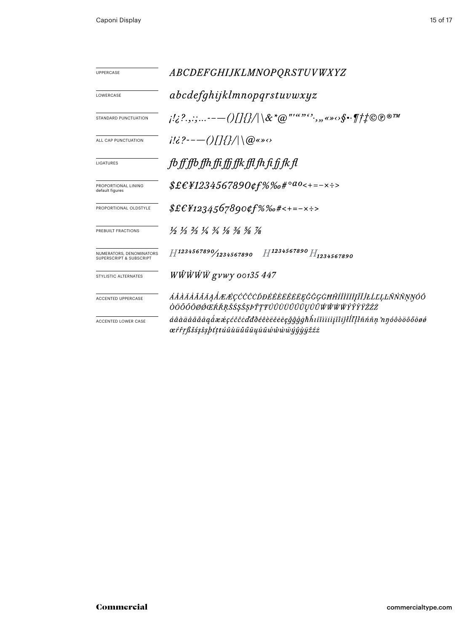| <b>UPPERCASE</b>                                               | <i>ABCDEFGHIJKLMNOPQRSTUVWXYZ</i>                                                                                                                                                                                                                      |  |  |  |  |
|----------------------------------------------------------------|--------------------------------------------------------------------------------------------------------------------------------------------------------------------------------------------------------------------------------------------------------|--|--|--|--|
| <b>LOWERCASE</b>                                               | abcdefghijklmnopqrstuvwxyz                                                                                                                                                                                                                             |  |  |  |  |
| STANDARD PUNCTUATION                                           | $\{a_1, a_2, a_3, \ldots \}$ . $\{a_n\}$ , $\{a_n\}$ , $\{a_n\}$ , $\{a_n\}$ , $\{a_n\}$ , $\{a_n\}$ , $\{a_n\}$ , $\{a_n\}$ , $\{a_n\}$ , $\{a_n\}$ , $\{a_n\}$ , $\{a_n\}$ , $\{a_n\}$ , $\{a_n\}$ , $\{a_n\}$ , $\{a_n\}$ , $\{a_n\}$ , $\{a_n\}$ , |  |  |  |  |
| ALL CAP PUNCTUATION                                            | $i!i$ ?----()[]{}/ \@«» $\circ$                                                                                                                                                                                                                        |  |  |  |  |
| LIGATURES                                                      | fb ff ffb ffh ffi ffi ffk ffl fh fi fj fk fl                                                                                                                                                                                                           |  |  |  |  |
| PROPORTIONAL LINING<br>default figures                         | $$ \pounds \pounds \pounds \pounds 1234567890 \pounds \pK 64^\circ 40 < + = - \times \pounds >$                                                                                                                                                        |  |  |  |  |
| PROPORTIONAL OLDSTYLE                                          | $$£E_{1234567890¢f\%\%o#<+=-x}\cdot$                                                                                                                                                                                                                   |  |  |  |  |
| PREBUILT FRACTIONS                                             | $\frac{1}{2}$ $\frac{1}{3}$ $\frac{2}{3}$ $\frac{1}{4}$ $\frac{3}{4}$ $\frac{1}{8}$ $\frac{3}{8}$ $\frac{5}{8}$ $\frac{7}{8}$                                                                                                                          |  |  |  |  |
| NUMERATORS, DENOMINATORS<br><b>SUPERSCRIPT &amp; SUBSCRIPT</b> | $H^{1234567890}/_{1234567890}$ $H^{1234567890}$ $H_{1234567890}$                                                                                                                                                                                       |  |  |  |  |
| STYLISTIC ALTERNATES                                           | <i>WŴŴŴŴ gvwy 00135 447</i>                                                                                                                                                                                                                            |  |  |  |  |
| <b>ACCENTED UPPERCASE</b>                                      | ÁÂÀÄÅÃĂĀĄÅÆÆÇĆČĈÒĐÉÊÈËËĔĘĞĜĢĠĦĤÍÎÌÏĪĮĨĬĴŁĹĽĻĿÑŃŇŅŊÓÔ<br>ÒÖŐŐŐØØŒŔŘŖŠŚŞŜŞÞŤŢŦÚÛÙÜŬŰŨŲŮŨŴŴŴŴŶŶŶŸŽŹŻ                                                                                                                                                      |  |  |  |  |
| ACCENTED LOWER CASE                                            | áâàäåãăāąåææçćčĉcďđðéêèëĕēēęğĝģġħĥıíîìïiijïijłĺľļŀñńňņ 'nŋóôòöőőōøø<br>œŕřŗßšśşŝşþťṭŧúûùüŭűūųůũŵŵẁwÿŷỳÿžźż                                                                                                                                             |  |  |  |  |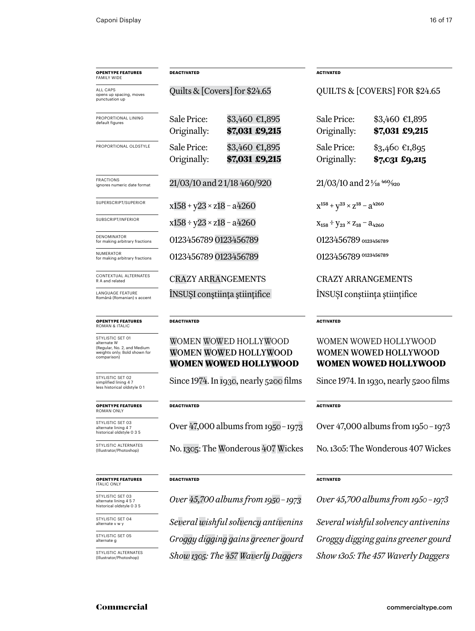| <b>OPENTYPE FEATURES</b><br><b>FAMILY WIDE</b>                                                                | <b>DEACTIVATED</b>                                    |                                  | <b>ACTIVATED</b>                               |                                   |
|---------------------------------------------------------------------------------------------------------------|-------------------------------------------------------|----------------------------------|------------------------------------------------|-----------------------------------|
| ALL CAPS<br>opens up spacing, moves<br>punctuation up                                                         | Quilts & $[Covers]$ for \$24.65                       |                                  | QUILTS & [COVERS] FOR \$24.65                  |                                   |
| PROPORTIONAL LINING<br>default figures                                                                        | Sale Price:<br>Originally:                            | \$3,460 €1,895<br>\$7,031 £9,215 | Sale Price:<br>Originally:                     | \$3,460 €1,895<br>\$7,031 £9,215  |
| PROPORTIONAL OLDSTYLE                                                                                         | Sale Price:<br>Originally:                            | \$3,460 €1,895<br>\$7,031 £9,215 | Sale Price:<br>Originally:                     | $$3,460$ €1,895<br>\$7,031 £9,215 |
| <b>FRACTIONS</b><br>ignores numeric date format                                                               | 21/03/10 and 21/18 460/920                            |                                  | $21/03/10$ and $2\frac{1}{18}$ $460/920$       |                                   |
| SUPERSCRIPT/SUPERIOR                                                                                          | $x158 + y23 \times z18 - a4260$                       |                                  | $X^{158} + Y^{23} \times Z^{18} - Z^{4260}$    |                                   |
| SUBSCRIPT/INFERIOR                                                                                            | $x158 \div y23 \times z18 - a4260$                    |                                  | $X_{158} \div Y_{23} \times Z_{18} - A_{4260}$ |                                   |
| <b>DENOMINATOR</b><br>for making arbitrary fractions                                                          | 0123456789 0123456789                                 |                                  | 0123456789 0123456789                          |                                   |
| <b>NUMERATOR</b><br>for making arbitrary fractions                                                            | 0123456789 0123456789                                 |                                  | 0123456789 0123456789                          |                                   |
| CONTEXTUAL ALTERNATES<br>R A and related                                                                      | <b>CRAZY ARRANGEMENTS</b>                             |                                  | <b>CRAZY ARRANGEMENTS</b>                      |                                   |
| <b>LANGUAGE FEATURE</b><br>Română (Romanian) s accent                                                         | INSUSI constiința științifice                         |                                  | INSUSI constiința științifice                  |                                   |
| <b>OPENTYPE FEATURES</b><br><b>ROMAN &amp; ITALIC</b>                                                         | <b>DEACTIVATED</b>                                    |                                  | <b>ACTIVATED</b>                               |                                   |
| STYLISTIC SET 01<br>alternate W<br>(Regular, No. 2, and Medium<br>weights only; Bold shown for<br>comparison) | WOMEN WOWED HOLLYWOOD<br><b>WOMEN WOWED HOLLYWOOD</b> |                                  | WOMEN WOWED HOLLYWOOD<br>WOMEN WOWED HOLLYWOOD |                                   |

### Women Wowed Hollywood **Women Wowed Hollywood**

Since 1974. In 1930, nearly 5200 films

#### **DEACTIVATED**

Over 47,000 albums from 1950–1973

No. 1305: The Wonderous 407 Wickes

#### **DEACTIVATED**

*Over 45,700 albums from 1950–1973*

*Show1305: The 457 Waverly Daggers Show 1305: The 457 Waverly Daggers Several wishful solvency antivenins Groggy digging gains greener gourd*

#### VED HOLLYWOOD Women Wowed Hollywood **Women Wowed Hollywood**

Since 1974. In 1930, nearly 5200 films

#### **ACTIVATED**

Over 47,000 albums from 1950–1973

No. 1305: The Wonderous 407 Wickes

#### **ACTIVATED**

*Over 45,700 albums from 1950–1973 Several wishful solvency antivenins Groggy digging gains greener gourd*

#### **opentype FEATUREs** italic only

**opentype FEATUREs** roman only

STYLISTIC SET 03 alternate lining 4 7 historical oldstyle 0 3 5

STYLISTIC ALTERNATI<br>(Illustrator/Photoshop)

STYLISTIC SET 02 simplified lining 4 7 less historical oldstyle 0 1

STYLISTIC SET 03 alternate lining 4 5 7 historical oldstyle 0 3 5

STYLISTIC SET 04 alternate v w y

STYLISTIC SET 05 alternate g

STYLISTIC ALTERNATES (Illustrator/Photoshop)